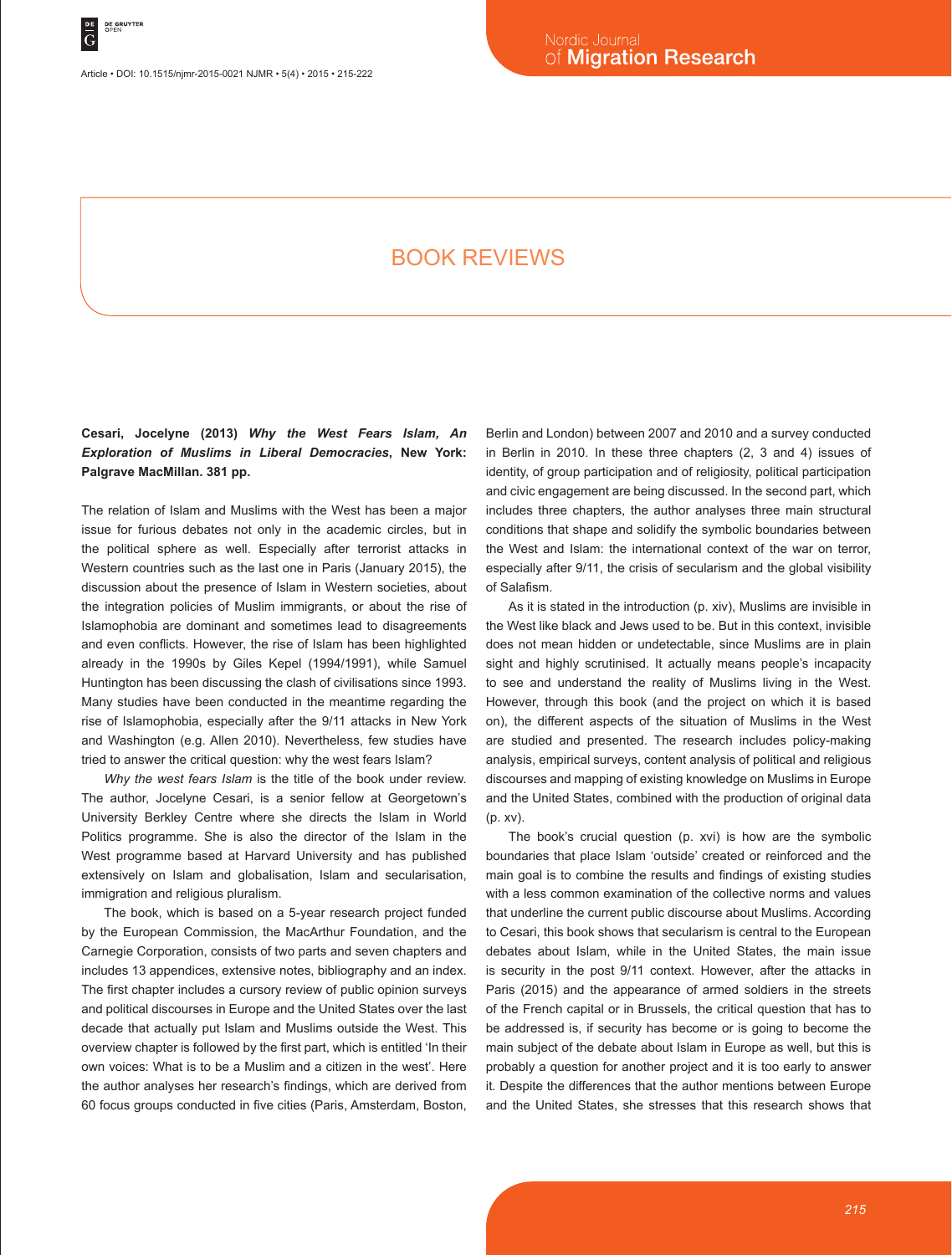Article • DOI: 10.1515/njmr-2015-0021 NJMR • 5(4) • 2015 • 215-222

# BOOK REVIEWS

## **Cesari, Jocelyne (2013)** *Why the West Fears Islam, An Exploration of Muslims in Liberal Democracies***, New York: Palgrave MacMillan. 381 pp.**

The relation of Islam and Muslims with the West has been a major issue for furious debates not only in the academic circles, but in the political sphere as well. Especially after terrorist attacks in Western countries such as the last one in Paris (January 2015), the discussion about the presence of Islam in Western societies, about the integration policies of Muslim immigrants, or about the rise of Islamophobia are dominant and sometimes lead to disagreements and even conflicts. However, the rise of Islam has been highlighted already in the 1990s by Giles Kepel (1994/1991), while Samuel Huntington has been discussing the clash of civilisations since 1993. Many studies have been conducted in the meantime regarding the rise of Islamophobia, especially after the 9/11 attacks in New York and Washington (e.g. Allen 2010). Nevertheless, few studies have tried to answer the critical question: why the west fears Islam?

*Why the west fears Islam* is the title of the book under review. The author, Jocelyne Cesari, is a senior fellow at Georgetown's University Berkley Centre where she directs the Islam in World Politics programme. She is also the director of the Islam in the West programme based at Harvard University and has published extensively on Islam and globalisation, Islam and secularisation, immigration and religious pluralism.

The book, which is based on a 5-year research project funded by the European Commission, the MacArthur Foundation, and the Carnegie Corporation, consists of two parts and seven chapters and includes 13 appendices, extensive notes, bibliography and an index. The first chapter includes a cursory review of public opinion surveys and political discourses in Europe and the United States over the last decade that actually put Islam and Muslims outside the West. This overview chapter is followed by the first part, which is entitled 'In their own voices: What is to be a Muslim and a citizen in the west'. Here the author analyses her research's findings, which are derived from 60 focus groups conducted in five cities (Paris, Amsterdam, Boston,

Berlin and London) between 2007 and 2010 and a survey conducted in Berlin in 2010. In these three chapters (2, 3 and 4) issues of identity, of group participation and of religiosity, political participation and civic engagement are being discussed. In the second part, which includes three chapters, the author analyses three main structural conditions that shape and solidify the symbolic boundaries between the West and Islam: the international context of the war on terror, especially after 9/11, the crisis of secularism and the global visibility of Salafism.

As it is stated in the introduction (p. xiv), Muslims are invisible in the West like black and Jews used to be. But in this context, invisible does not mean hidden or undetectable, since Muslims are in plain sight and highly scrutinised. It actually means people's incapacity to see and understand the reality of Muslims living in the West. However, through this book (and the project on which it is based on), the different aspects of the situation of Muslims in the West are studied and presented. The research includes policy-making analysis, empirical surveys, content analysis of political and religious discourses and mapping of existing knowledge on Muslims in Europe and the United States, combined with the production of original data (p. xv).

The book's crucial question (p. xvi) is how are the symbolic boundaries that place Islam 'outside' created or reinforced and the main goal is to combine the results and findings of existing studies with a less common examination of the collective norms and values that underline the current public discourse about Muslims. According to Cesari, this book shows that secularism is central to the European debates about Islam, while in the United States, the main issue is security in the post 9/11 context. However, after the attacks in Paris (2015) and the appearance of armed soldiers in the streets of the French capital or in Brussels, the critical question that has to be addressed is, if security has become or is going to become the main subject of the debate about Islam in Europe as well, but this is probably a question for another project and it is too early to answer it. Despite the differences that the author mentions between Europe and the United States, she stresses that this research shows that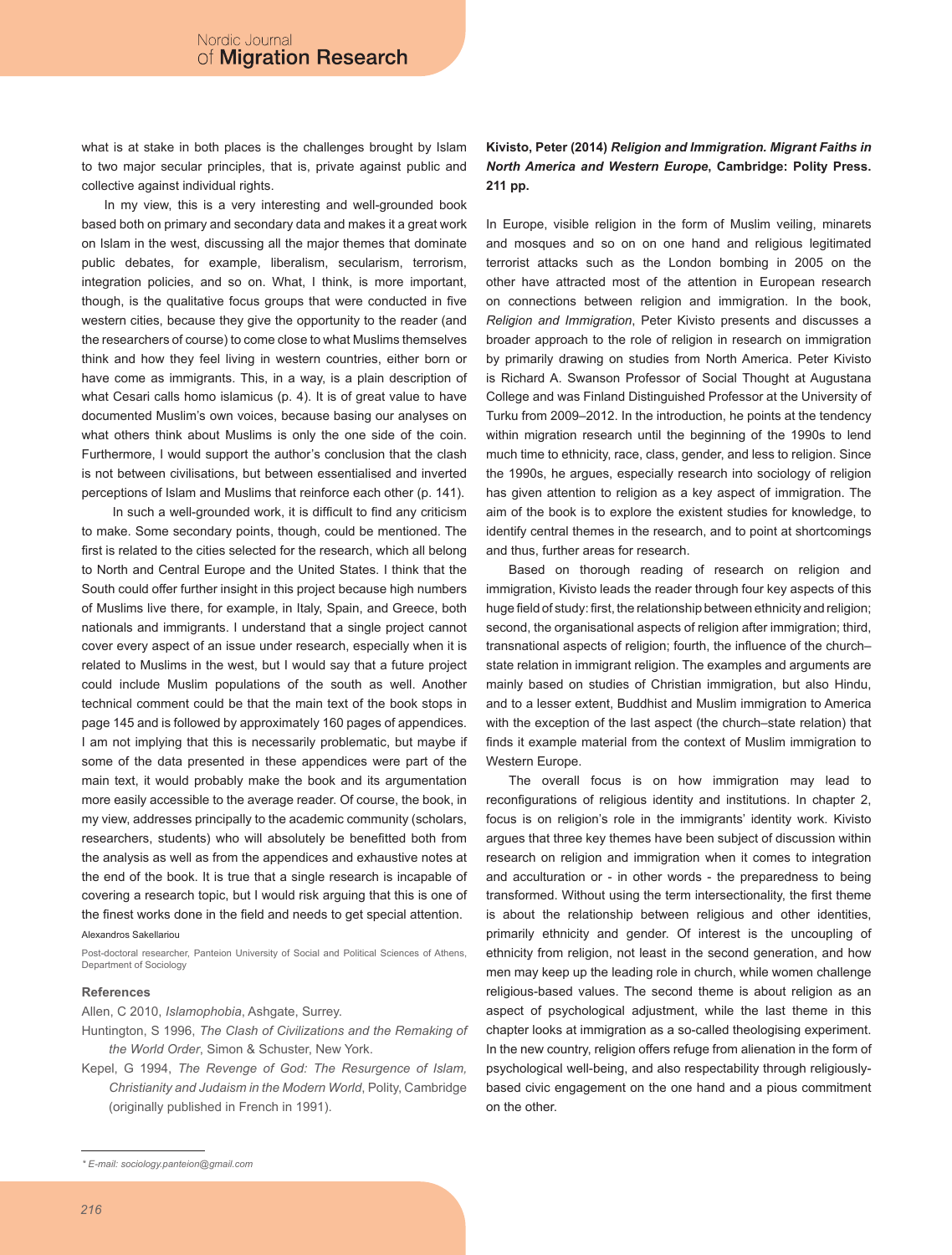what is at stake in both places is the challenges brought by Islam to two major secular principles, that is, private against public and collective against individual rights.

In my view, this is a very interesting and well-grounded book based both on primary and secondary data and makes it a great work on Islam in the west, discussing all the major themes that dominate public debates, for example, liberalism, secularism, terrorism, integration policies, and so on. What, I think, is more important, though, is the qualitative focus groups that were conducted in five western cities, because they give the opportunity to the reader (and the researchers of course) to come close to what Muslims themselves think and how they feel living in western countries, either born or have come as immigrants. This, in a way, is a plain description of what Cesari calls homo islamicus (p. 4). It is of great value to have documented Muslim's own voices, because basing our analyses on what others think about Muslims is only the one side of the coin. Furthermore, I would support the author's conclusion that the clash is not between civilisations, but between essentialised and inverted perceptions of Islam and Muslims that reinforce each other (p. 141).

 In such a well-grounded work, it is difficult to find any criticism to make. Some secondary points, though, could be mentioned. The first is related to the cities selected for the research, which all belong to North and Central Europe and the United States. I think that the South could offer further insight in this project because high numbers of Muslims live there, for example, in Italy, Spain, and Greece, both nationals and immigrants. I understand that a single project cannot cover every aspect of an issue under research, especially when it is related to Muslims in the west, but I would say that a future project could include Muslim populations of the south as well. Another technical comment could be that the main text of the book stops in page 145 and is followed by approximately 160 pages of appendices. I am not implying that this is necessarily problematic, but maybe if some of the data presented in these appendices were part of the main text, it would probably make the book and its argumentation more easily accessible to the average reader. Of course, the book, in my view, addresses principally to the academic community (scholars, researchers, students) who will absolutely be benefitted both from the analysis as well as from the appendices and exhaustive notes at the end of the book. It is true that a single research is incapable of covering a research topic, but I would risk arguing that this is one of the finest works done in the field and needs to get special attention. Alexandros Sakellariou

Post-doctoral researcher, Panteion University of Social and Political Sciences of Athens, Department of Sociology

## **References**

Allen, C 2010, *Islamophobia*, Ashgate, Surrey.

Huntington, S 1996, *The Clash of Civilizations and the Remaking of the World Order*, Simon & Schuster, New York.

Kepel, G 1994, *The Revenge of God: The Resurgence of Islam, Christianity and Judaism in the Modern World*, Polity, Cambridge (originally published in French in 1991).

## **Kivisto, Peter (2014)** *Religion and Immigration. Migrant Faiths in North America and Western Europe***, Cambridge: Polity Press. 211 pp.**

In Europe, visible religion in the form of Muslim veiling, minarets and mosques and so on on one hand and religious legitimated terrorist attacks such as the London bombing in 2005 on the other have attracted most of the attention in European research on connections between religion and immigration. In the book, *Religion and Immigration*, Peter Kivisto presents and discusses a broader approach to the role of religion in research on immigration by primarily drawing on studies from North America. Peter Kivisto is Richard A. Swanson Professor of Social Thought at Augustana College and was Finland Distinguished Professor at the University of Turku from 2009–2012. In the introduction, he points at the tendency within migration research until the beginning of the 1990s to lend much time to ethnicity, race, class, gender, and less to religion. Since the 1990s, he argues, especially research into sociology of religion has given attention to religion as a key aspect of immigration. The aim of the book is to explore the existent studies for knowledge, to identify central themes in the research, and to point at shortcomings and thus, further areas for research.

Based on thorough reading of research on religion and immigration, Kivisto leads the reader through four key aspects of this huge field of study: first, the relationship between ethnicity and religion; second, the organisational aspects of religion after immigration; third, transnational aspects of religion; fourth, the influence of the church– state relation in immigrant religion. The examples and arguments are mainly based on studies of Christian immigration, but also Hindu, and to a lesser extent, Buddhist and Muslim immigration to America with the exception of the last aspect (the church–state relation) that finds it example material from the context of Muslim immigration to Western Europe.

The overall focus is on how immigration may lead to reconfigurations of religious identity and institutions. In chapter 2, focus is on religion's role in the immigrants' identity work. Kivisto argues that three key themes have been subject of discussion within research on religion and immigration when it comes to integration and acculturation or - in other words - the preparedness to being transformed. Without using the term intersectionality, the first theme is about the relationship between religious and other identities, primarily ethnicity and gender. Of interest is the uncoupling of ethnicity from religion, not least in the second generation, and how men may keep up the leading role in church, while women challenge religious-based values. The second theme is about religion as an aspect of psychological adjustment, while the last theme in this chapter looks at immigration as a so-called theologising experiment. In the new country, religion offers refuge from alienation in the form of psychological well-being, and also respectability through religiouslybased civic engagement on the one hand and a pious commitment on the other.

*<sup>\*</sup> E-mail: sociology.panteion@gmail.com*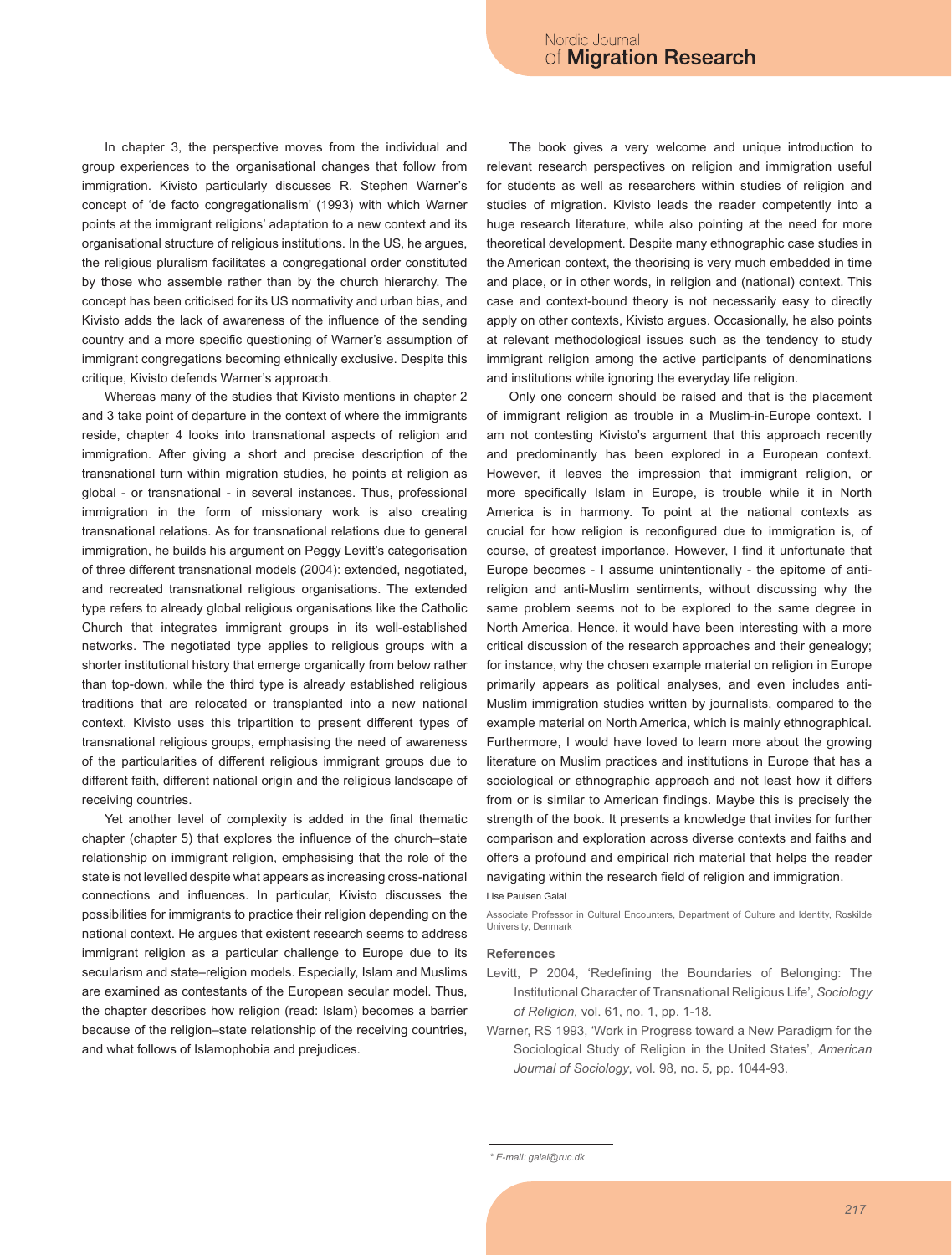In chapter 3, the perspective moves from the individual and group experiences to the organisational changes that follow from immigration. Kivisto particularly discusses R. Stephen Warner's concept of 'de facto congregationalism' (1993) with which Warner points at the immigrant religions' adaptation to a new context and its organisational structure of religious institutions. In the US, he argues, the religious pluralism facilitates a congregational order constituted by those who assemble rather than by the church hierarchy. The concept has been criticised for its US normativity and urban bias, and Kivisto adds the lack of awareness of the influence of the sending country and a more specific questioning of Warner's assumption of immigrant congregations becoming ethnically exclusive. Despite this critique, Kivisto defends Warner's approach.

Whereas many of the studies that Kivisto mentions in chapter 2 and 3 take point of departure in the context of where the immigrants reside, chapter 4 looks into transnational aspects of religion and immigration. After giving a short and precise description of the transnational turn within migration studies, he points at religion as global - or transnational - in several instances. Thus, professional immigration in the form of missionary work is also creating transnational relations. As for transnational relations due to general immigration, he builds his argument on Peggy Levitt's categorisation of three different transnational models (2004): extended, negotiated, and recreated transnational religious organisations. The extended type refers to already global religious organisations like the Catholic Church that integrates immigrant groups in its well-established networks. The negotiated type applies to religious groups with a shorter institutional history that emerge organically from below rather than top-down, while the third type is already established religious traditions that are relocated or transplanted into a new national context. Kivisto uses this tripartition to present different types of transnational religious groups, emphasising the need of awareness of the particularities of different religious immigrant groups due to different faith, different national origin and the religious landscape of receiving countries.

Yet another level of complexity is added in the final thematic chapter (chapter 5) that explores the influence of the church–state relationship on immigrant religion, emphasising that the role of the state is not levelled despite what appears as increasing cross-national connections and influences. In particular, Kivisto discusses the possibilities for immigrants to practice their religion depending on the national context. He argues that existent research seems to address immigrant religion as a particular challenge to Europe due to its secularism and state–religion models. Especially, Islam and Muslims are examined as contestants of the European secular model. Thus, the chapter describes how religion (read: Islam) becomes a barrier because of the religion–state relationship of the receiving countries, and what follows of Islamophobia and prejudices.

The book gives a very welcome and unique introduction to relevant research perspectives on religion and immigration useful for students as well as researchers within studies of religion and studies of migration. Kivisto leads the reader competently into a huge research literature, while also pointing at the need for more theoretical development. Despite many ethnographic case studies in the American context, the theorising is very much embedded in time and place, or in other words, in religion and (national) context. This case and context-bound theory is not necessarily easy to directly apply on other contexts, Kivisto argues. Occasionally, he also points at relevant methodological issues such as the tendency to study immigrant religion among the active participants of denominations and institutions while ignoring the everyday life religion.

Only one concern should be raised and that is the placement of immigrant religion as trouble in a Muslim-in-Europe context. I am not contesting Kivisto's argument that this approach recently and predominantly has been explored in a European context. However, it leaves the impression that immigrant religion, or more specifically Islam in Europe, is trouble while it in North America is in harmony. To point at the national contexts as crucial for how religion is reconfigured due to immigration is, of course, of greatest importance. However, I find it unfortunate that Europe becomes - I assume unintentionally - the epitome of antireligion and anti-Muslim sentiments, without discussing why the same problem seems not to be explored to the same degree in North America. Hence, it would have been interesting with a more critical discussion of the research approaches and their genealogy; for instance, why the chosen example material on religion in Europe primarily appears as political analyses, and even includes anti-Muslim immigration studies written by journalists, compared to the example material on North America, which is mainly ethnographical. Furthermore, I would have loved to learn more about the growing literature on Muslim practices and institutions in Europe that has a sociological or ethnographic approach and not least how it differs from or is similar to American findings. Maybe this is precisely the strength of the book. It presents a knowledge that invites for further comparison and exploration across diverse contexts and faiths and offers a profound and empirical rich material that helps the reader navigating within the research field of religion and immigration.

#### Lise Paulsen Galal

Associate Professor in Cultural Encounters, Department of Culture and Identity, Roskilde University, Denmark

#### **References**

- Levitt, P 2004, 'Redefining the Boundaries of Belonging: The Institutional Character of Transnational Religious Life', *Sociology of Religion,* vol. 61, no. 1, pp. 1-18.
- Warner, RS 1993, 'Work in Progress toward a New Paradigm for the Sociological Study of Religion in the United States', *American Journal of Sociology*, vol. 98, no. 5, pp. 1044-93.

*<sup>\*</sup> E-mail: galal@ruc.dk*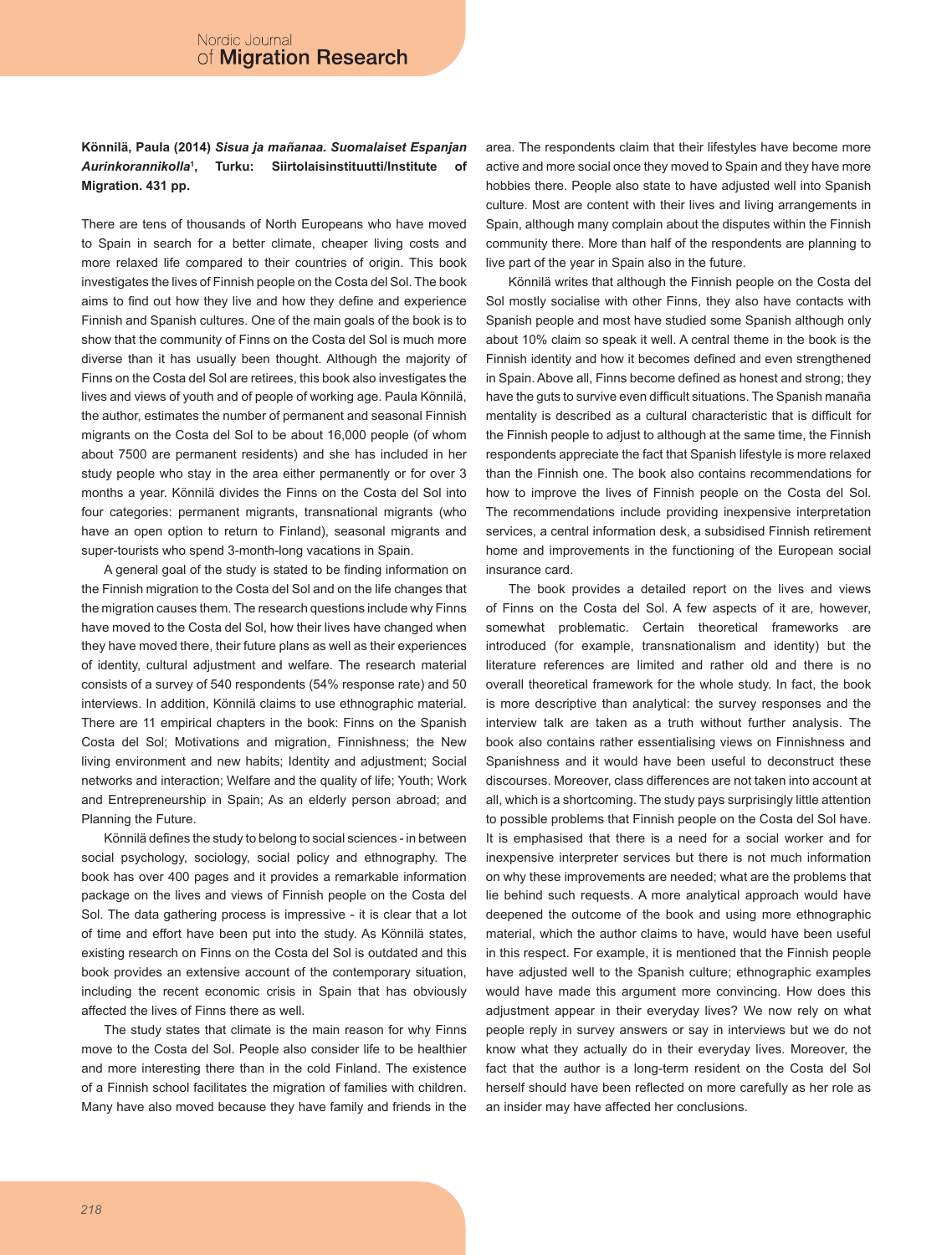#### **Könnilä, Paula (2014)** *Sisua ja mañanaa. Suomalaiset Espanjan Aurinkorannikolla***<sup>1</sup> , Turku: Siirtolaisinstituutti/Institute of Migration. 431 pp.**

There are tens of thousands of North Europeans who have moved to Spain in search for a better climate, cheaper living costs and more relaxed life compared to their countries of origin. This book investigates the lives of Finnish people on the Costa del Sol. The book aims to find out how they live and how they define and experience Finnish and Spanish cultures. One of the main goals of the book is to show that the community of Finns on the Costa del Sol is much more diverse than it has usually been thought. Although the majority of Finns on the Costa del Sol are retirees, this book also investigates the lives and views of youth and of people of working age. Paula Könnilä, the author, estimates the number of permanent and seasonal Finnish migrants on the Costa del Sol to be about 16,000 people (of whom about 7500 are permanent residents) and she has included in her study people who stay in the area either permanently or for over 3 months a year. Könnilä divides the Finns on the Costa del Sol into four categories: permanent migrants, transnational migrants (who have an open option to return to Finland), seasonal migrants and super-tourists who spend 3-month-long vacations in Spain.

A general goal of the study is stated to be finding information on the Finnish migration to the Costa del Sol and on the life changes that the migration causes them. The research questions include why Finns have moved to the Costa del Sol, how their lives have changed when they have moved there, their future plans as well as their experiences of identity, cultural adjustment and welfare. The research material consists of a survey of 540 respondents (54% response rate) and 50 interviews. In addition, Könnilä claims to use ethnographic material. There are 11 empirical chapters in the book: Finns on the Spanish Costa del Sol; Motivations and migration, Finnishness; the New living environment and new habits; Identity and adjustment; Social networks and interaction; Welfare and the quality of life; Youth; Work and Entrepreneurship in Spain; As an elderly person abroad; and Planning the Future.

Könnilä defines the study to belong to social sciences - in between social psychology, sociology, social policy and ethnography. The book has over 400 pages and it provides a remarkable information package on the lives and views of Finnish people on the Costa del Sol. The data gathering process is impressive - it is clear that a lot of time and effort have been put into the study. As Könnilä states, existing research on Finns on the Costa del Sol is outdated and this book provides an extensive account of the contemporary situation, including the recent economic crisis in Spain that has obviously affected the lives of Finns there as well.

The study states that climate is the main reason for why Finns move to the Costa del Sol. People also consider life to be healthier and more interesting there than in the cold Finland. The existence of a Finnish school facilitates the migration of families with children. Many have also moved because they have family and friends in the

area. The respondents claim that their lifestyles have become more active and more social once they moved to Spain and they have more hobbies there. People also state to have adjusted well into Spanish culture. Most are content with their lives and living arrangements in Spain, although many complain about the disputes within the Finnish community there. More than half of the respondents are planning to live part of the year in Spain also in the future.

Könnilä writes that although the Finnish people on the Costa del Sol mostly socialise with other Finns, they also have contacts with Spanish people and most have studied some Spanish although only about 10% claim so speak it well. A central theme in the book is the Finnish identity and how it becomes defined and even strengthened in Spain. Above all, Finns become defined as honest and strong; they have the guts to survive even difficult situations. The Spanish manaña mentality is described as a cultural characteristic that is difficult for the Finnish people to adjust to although at the same time, the Finnish respondents appreciate the fact that Spanish lifestyle is more relaxed than the Finnish one. The book also contains recommendations for how to improve the lives of Finnish people on the Costa del Sol. The recommendations include providing inexpensive interpretation services, a central information desk, a subsidised Finnish retirement home and improvements in the functioning of the European social insurance card.

The book provides a detailed report on the lives and views of Finns on the Costa del Sol. A few aspects of it are, however, somewhat problematic. Certain theoretical frameworks are introduced (for example, transnationalism and identity) but the literature references are limited and rather old and there is no overall theoretical framework for the whole study. In fact, the book is more descriptive than analytical: the survey responses and the interview talk are taken as a truth without further analysis. The book also contains rather essentialising views on Finnishness and Spanishness and it would have been useful to deconstruct these discourses. Moreover, class differences are not taken into account at all, which is a shortcoming. The study pays surprisingly little attention to possible problems that Finnish people on the Costa del Sol have. It is emphasised that there is a need for a social worker and for inexpensive interpreter services but there is not much information on why these improvements are needed; what are the problems that lie behind such requests. A more analytical approach would have deepened the outcome of the book and using more ethnographic material, which the author claims to have, would have been useful in this respect. For example, it is mentioned that the Finnish people have adjusted well to the Spanish culture; ethnographic examples would have made this argument more convincing. How does this adjustment appear in their everyday lives? We now rely on what people reply in survey answers or say in interviews but we do not know what they actually do in their everyday lives. Moreover, the fact that the author is a long-term resident on the Costa del Sol herself should have been reflected on more carefully as her role as an insider may have affected her conclusions.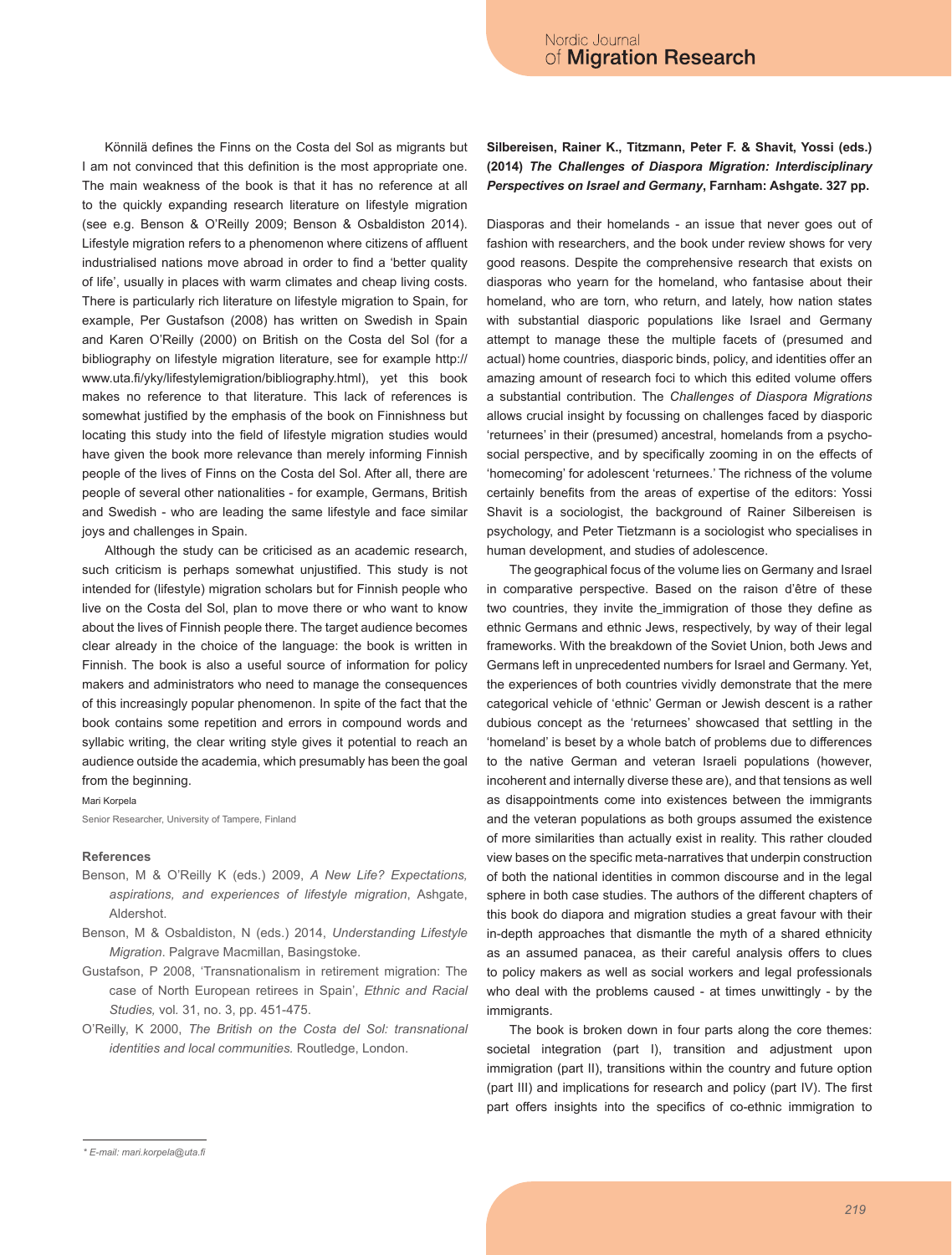Könnilä defines the Finns on the Costa del Sol as migrants but I am not convinced that this definition is the most appropriate one. The main weakness of the book is that it has no reference at all to the quickly expanding research literature on lifestyle migration (see e.g. Benson & O'Reilly 2009; Benson & Osbaldiston 2014). Lifestyle migration refers to a phenomenon where citizens of affluent industrialised nations move abroad in order to find a 'better quality of life', usually in places with warm climates and cheap living costs. There is particularly rich literature on lifestyle migration to Spain, for example, Per Gustafson (2008) has written on Swedish in Spain and Karen O'Reilly (2000) on British on the Costa del Sol (for a bibliography on lifestyle migration literature, see for example http:// www.uta.fi/yky/lifestylemigration/bibliography.html), yet this book makes no reference to that literature. This lack of references is somewhat justified by the emphasis of the book on Finnishness but locating this study into the field of lifestyle migration studies would have given the book more relevance than merely informing Finnish people of the lives of Finns on the Costa del Sol. After all, there are people of several other nationalities - for example, Germans, British and Swedish - who are leading the same lifestyle and face similar joys and challenges in Spain.

Although the study can be criticised as an academic research, such criticism is perhaps somewhat uniustified. This study is not intended for (lifestyle) migration scholars but for Finnish people who live on the Costa del Sol, plan to move there or who want to know about the lives of Finnish people there. The target audience becomes clear already in the choice of the language: the book is written in Finnish. The book is also a useful source of information for policy makers and administrators who need to manage the consequences of this increasingly popular phenomenon. In spite of the fact that the book contains some repetition and errors in compound words and syllabic writing, the clear writing style gives it potential to reach an audience outside the academia, which presumably has been the goal from the beginning.

Mari Korpela

Senior Researcher, University of Tampere, Finland

#### **References**

- Benson, M & O'Reilly K (eds.) 2009, *A New Life? Expectations, aspirations, and experiences of lifestyle migration*, Ashgate, Aldershot.
- Benson, M & Osbaldiston, N (eds.) 2014, *Understanding Lifestyle Migration*. Palgrave Macmillan, Basingstoke.
- Gustafson, P 2008, 'Transnationalism in retirement migration: The case of North European retirees in Spain', *Ethnic and Racial Studies,* vol*.* 31, no. 3, pp. 451-475.
- O'Reilly, K 2000, *The British on the Costa del Sol: transnational identities and local communities.* Routledge, London.

# **Silbereisen, Rainer K., Titzmann, Peter F. & Shavit, Yossi (eds.) (2014)** *The Challenges of Diaspora Migration: Interdisciplinary Perspectives on Israel and Germany***, Farnham: Ashgate. 327 pp.**

Diasporas and their homelands - an issue that never goes out of fashion with researchers, and the book under review shows for very good reasons. Despite the comprehensive research that exists on diasporas who yearn for the homeland, who fantasise about their homeland, who are torn, who return, and lately, how nation states with substantial diasporic populations like Israel and Germany attempt to manage these the multiple facets of (presumed and actual) home countries, diasporic binds, policy, and identities offer an amazing amount of research foci to which this edited volume offers a substantial contribution. The *Challenges of Diaspora Migrations* allows crucial insight by focussing on challenges faced by diasporic 'returnees' in their (presumed) ancestral, homelands from a psychosocial perspective, and by specifically zooming in on the effects of 'homecoming' for adolescent 'returnees.' The richness of the volume certainly benefits from the areas of expertise of the editors: Yossi Shavit is a sociologist, the background of Rainer Silbereisen is psychology, and Peter Tietzmann is a sociologist who specialises in human development, and studies of adolescence.

The geographical focus of the volume lies on Germany and Israel in comparative perspective. Based on the raison d'être of these two countries, they invite the\_immigration of those they define as ethnic Germans and ethnic Jews, respectively, by way of their legal frameworks. With the breakdown of the Soviet Union, both Jews and Germans left in unprecedented numbers for Israel and Germany. Yet, the experiences of both countries vividly demonstrate that the mere categorical vehicle of 'ethnic' German or Jewish descent is a rather dubious concept as the 'returnees' showcased that settling in the 'homeland' is beset by a whole batch of problems due to differences to the native German and veteran Israeli populations (however, incoherent and internally diverse these are), and that tensions as well as disappointments come into existences between the immigrants and the veteran populations as both groups assumed the existence of more similarities than actually exist in reality. This rather clouded view bases on the specific meta-narratives that underpin construction of both the national identities in common discourse and in the legal sphere in both case studies. The authors of the different chapters of this book do diapora and migration studies a great favour with their in-depth approaches that dismantle the myth of a shared ethnicity as an assumed panacea, as their careful analysis offers to clues to policy makers as well as social workers and legal professionals who deal with the problems caused - at times unwittingly - by the immigrants.

The book is broken down in four parts along the core themes: societal integration (part I), transition and adjustment upon immigration (part II), transitions within the country and future option (part III) and implications for research and policy (part IV). The first part offers insights into the specifics of co-ethnic immigration to

*<sup>\*</sup> E-mail: mari.korpela@uta.fi*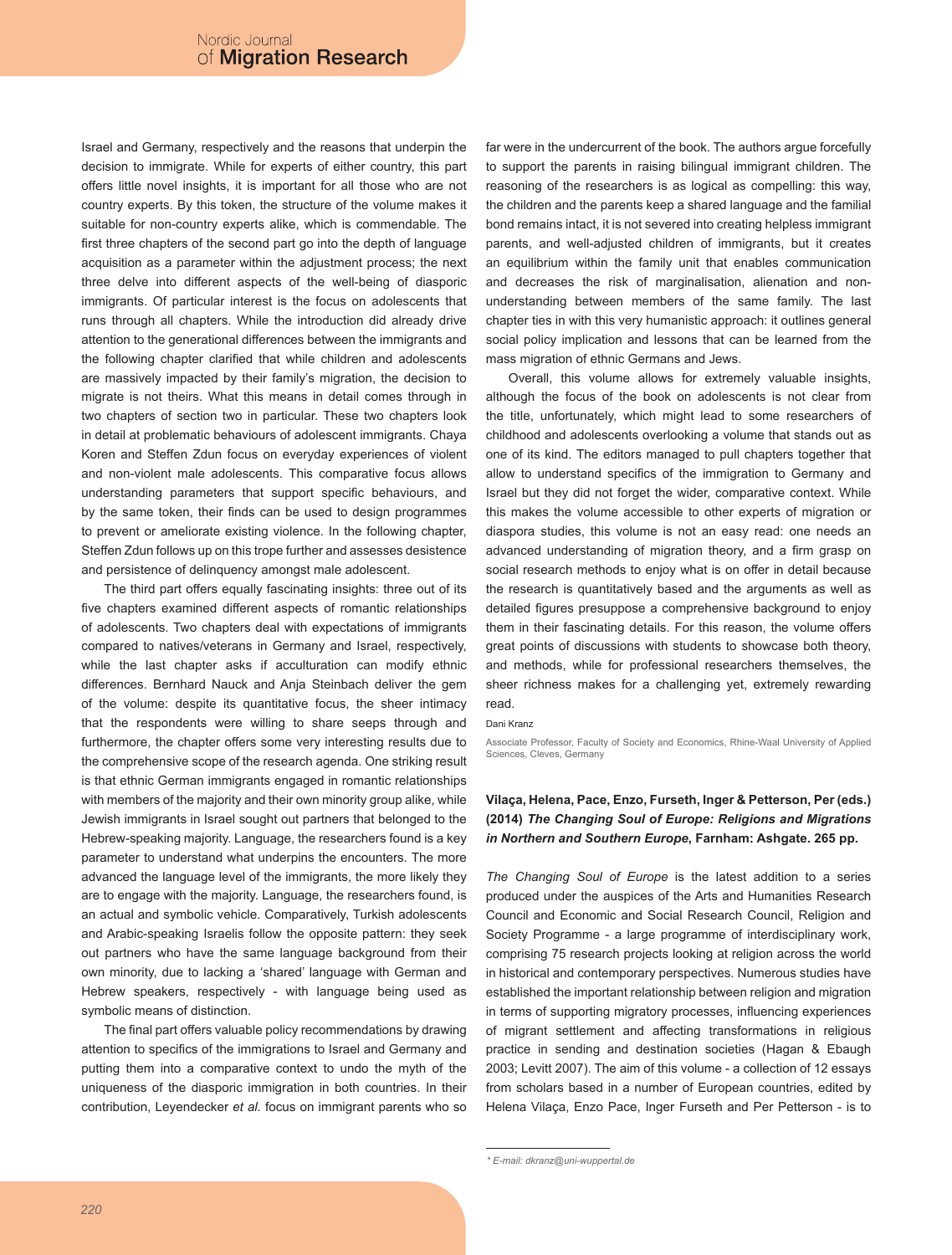Israel and Germany, respectively and the reasons that underpin the decision to immigrate. While for experts of either country, this part offers little novel insights, it is important for all those who are not country experts. By this token, the structure of the volume makes it suitable for non-country experts alike, which is commendable. The first three chapters of the second part go into the depth of language acquisition as a parameter within the adjustment process; the next three delve into different aspects of the well-being of diasporic immigrants. Of particular interest is the focus on adolescents that runs through all chapters. While the introduction did already drive attention to the generational differences between the immigrants and the following chapter clarified that while children and adolescents are massively impacted by their family's migration, the decision to migrate is not theirs. What this means in detail comes through in two chapters of section two in particular. These two chapters look in detail at problematic behaviours of adolescent immigrants. Chaya Koren and Steffen Zdun focus on everyday experiences of violent and non-violent male adolescents. This comparative focus allows understanding parameters that support specific behaviours, and by the same token, their finds can be used to design programmes to prevent or ameliorate existing violence. In the following chapter, Steffen Zdun follows up on this trope further and assesses desistence and persistence of delinquency amongst male adolescent.

The third part offers equally fascinating insights: three out of its five chapters examined different aspects of romantic relationships of adolescents. Two chapters deal with expectations of immigrants compared to natives/veterans in Germany and Israel, respectively, while the last chapter asks if acculturation can modify ethnic differences. Bernhard Nauck and Anja Steinbach deliver the gem of the volume: despite its quantitative focus, the sheer intimacy that the respondents were willing to share seeps through and furthermore, the chapter offers some very interesting results due to the comprehensive scope of the research agenda. One striking result is that ethnic German immigrants engaged in romantic relationships with members of the majority and their own minority group alike, while Jewish immigrants in Israel sought out partners that belonged to the Hebrew-speaking majority. Language, the researchers found is a key parameter to understand what underpins the encounters. The more advanced the language level of the immigrants, the more likely they are to engage with the majority. Language, the researchers found, is an actual and symbolic vehicle. Comparatively, Turkish adolescents and Arabic-speaking Israelis follow the opposite pattern: they seek out partners who have the same language background from their own minority, due to lacking a 'shared' language with German and Hebrew speakers, respectively - with language being used as symbolic means of distinction.

The final part offers valuable policy recommendations by drawing attention to specifics of the immigrations to Israel and Germany and putting them into a comparative context to undo the myth of the uniqueness of the diasporic immigration in both countries. In their contribution, Leyendecker *et al.* focus on immigrant parents who so

far were in the undercurrent of the book. The authors argue forcefully to support the parents in raising bilingual immigrant children. The reasoning of the researchers is as logical as compelling: this way, the children and the parents keep a shared language and the familial bond remains intact, it is not severed into creating helpless immigrant parents, and well-adjusted children of immigrants, but it creates an equilibrium within the family unit that enables communication and decreases the risk of marginalisation, alienation and nonunderstanding between members of the same family. The last chapter ties in with this very humanistic approach: it outlines general social policy implication and lessons that can be learned from the mass migration of ethnic Germans and Jews.

Overall, this volume allows for extremely valuable insights, although the focus of the book on adolescents is not clear from the title, unfortunately, which might lead to some researchers of childhood and adolescents overlooking a volume that stands out as one of its kind. The editors managed to pull chapters together that allow to understand specifics of the immigration to Germany and Israel but they did not forget the wider, comparative context. While this makes the volume accessible to other experts of migration or diaspora studies, this volume is not an easy read: one needs an advanced understanding of migration theory, and a firm grasp on social research methods to enjoy what is on offer in detail because the research is quantitatively based and the arguments as well as detailed figures presuppose a comprehensive background to enjoy them in their fascinating details. For this reason, the volume offers great points of discussions with students to showcase both theory, and methods, while for professional researchers themselves, the sheer richness makes for a challenging yet, extremely rewarding read.

#### Dani Kranz

Associate Professor, Faculty of Society and Economics, Rhine-Waal University of Applied Sciences, Cleves, Germany

# **Vilaça, Helena, Pace, Enzo, Furseth, Inger & Petterson, Per (eds.) (2014)** *The Changing Soul of Europe: Religions and Migrations in Northern and Southern Europe***, Farnham: Ashgate. 265 pp.**

*The Changing Soul of Europe* is the latest addition to a series produced under the auspices of the Arts and Humanities Research Council and Economic and Social Research Council, Religion and Society Programme - a large programme of interdisciplinary work, comprising 75 research projects looking at religion across the world in historical and contemporary perspectives. Numerous studies have established the important relationship between religion and migration in terms of supporting migratory processes, influencing experiences of migrant settlement and affecting transformations in religious practice in sending and destination societies (Hagan & Ebaugh 2003; Levitt 2007). The aim of this volume - a collection of 12 essays from scholars based in a number of European countries, edited by Helena Vilaça, Enzo Pace, Inger Furseth and Per Petterson - is to

*<sup>\*</sup> E-mail: dkranz@uni-wuppertal.de*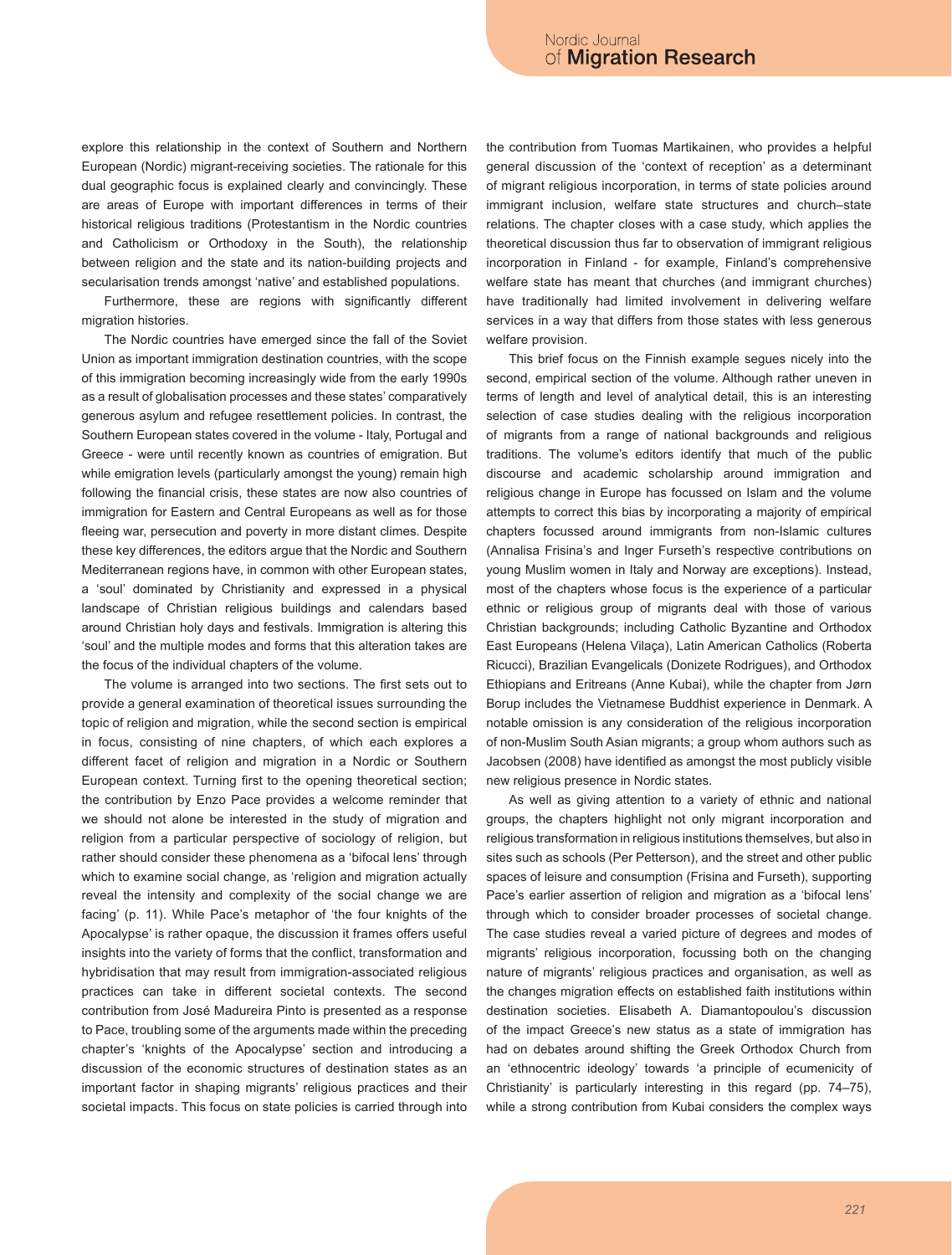explore this relationship in the context of Southern and Northern European (Nordic) migrant-receiving societies. The rationale for this dual geographic focus is explained clearly and convincingly. These are areas of Europe with important differences in terms of their historical religious traditions (Protestantism in the Nordic countries and Catholicism or Orthodoxy in the South), the relationship between religion and the state and its nation-building projects and secularisation trends amongst 'native' and established populations.

Furthermore, these are regions with significantly different migration histories.

The Nordic countries have emerged since the fall of the Soviet Union as important immigration destination countries, with the scope of this immigration becoming increasingly wide from the early 1990s as a result of globalisation processes and these states' comparatively generous asylum and refugee resettlement policies. In contrast, the Southern European states covered in the volume - Italy, Portugal and Greece - were until recently known as countries of emigration. But while emigration levels (particularly amongst the young) remain high following the financial crisis, these states are now also countries of immigration for Eastern and Central Europeans as well as for those fleeing war, persecution and poverty in more distant climes. Despite these key differences, the editors argue that the Nordic and Southern Mediterranean regions have, in common with other European states, a 'soul' dominated by Christianity and expressed in a physical landscape of Christian religious buildings and calendars based around Christian holy days and festivals. Immigration is altering this 'soul' and the multiple modes and forms that this alteration takes are the focus of the individual chapters of the volume.

The volume is arranged into two sections. The first sets out to provide a general examination of theoretical issues surrounding the topic of religion and migration, while the second section is empirical in focus, consisting of nine chapters, of which each explores a different facet of religion and migration in a Nordic or Southern European context. Turning first to the opening theoretical section; the contribution by Enzo Pace provides a welcome reminder that we should not alone be interested in the study of migration and religion from a particular perspective of sociology of religion, but rather should consider these phenomena as a 'bifocal lens' through which to examine social change, as 'religion and migration actually reveal the intensity and complexity of the social change we are facing' (p. 11). While Pace's metaphor of 'the four knights of the Apocalypse' is rather opaque, the discussion it frames offers useful insights into the variety of forms that the conflict, transformation and hybridisation that may result from immigration-associated religious practices can take in different societal contexts. The second contribution from José Madureira Pinto is presented as a response to Pace, troubling some of the arguments made within the preceding chapter's 'knights of the Apocalypse' section and introducing a discussion of the economic structures of destination states as an important factor in shaping migrants' religious practices and their societal impacts. This focus on state policies is carried through into

the contribution from Tuomas Martikainen, who provides a helpful general discussion of the 'context of reception' as a determinant of migrant religious incorporation, in terms of state policies around immigrant inclusion, welfare state structures and church–state relations. The chapter closes with a case study, which applies the theoretical discussion thus far to observation of immigrant religious incorporation in Finland - for example, Finland's comprehensive welfare state has meant that churches (and immigrant churches) have traditionally had limited involvement in delivering welfare services in a way that differs from those states with less generous welfare provision.

This brief focus on the Finnish example segues nicely into the second, empirical section of the volume. Although rather uneven in terms of length and level of analytical detail, this is an interesting selection of case studies dealing with the religious incorporation of migrants from a range of national backgrounds and religious traditions. The volume's editors identify that much of the public discourse and academic scholarship around immigration and religious change in Europe has focussed on Islam and the volume attempts to correct this bias by incorporating a majority of empirical chapters focussed around immigrants from non-Islamic cultures (Annalisa Frisina's and Inger Furseth's respective contributions on young Muslim women in Italy and Norway are exceptions). Instead, most of the chapters whose focus is the experience of a particular ethnic or religious group of migrants deal with those of various Christian backgrounds; including Catholic Byzantine and Orthodox East Europeans (Helena Vilaça), Latin American Catholics (Roberta Ricucci), Brazilian Evangelicals (Donizete Rodrigues), and Orthodox Ethiopians and Eritreans (Anne Kubai), while the chapter from Jørn Borup includes the Vietnamese Buddhist experience in Denmark. A notable omission is any consideration of the religious incorporation of non-Muslim South Asian migrants; a group whom authors such as Jacobsen (2008) have identified as amongst the most publicly visible new religious presence in Nordic states.

As well as giving attention to a variety of ethnic and national groups, the chapters highlight not only migrant incorporation and religious transformation in religious institutions themselves, but also in sites such as schools (Per Petterson), and the street and other public spaces of leisure and consumption (Frisina and Furseth), supporting Pace's earlier assertion of religion and migration as a 'bifocal lens' through which to consider broader processes of societal change. The case studies reveal a varied picture of degrees and modes of migrants' religious incorporation, focussing both on the changing nature of migrants' religious practices and organisation, as well as the changes migration effects on established faith institutions within destination societies. Elisabeth A. Diamantopoulou's discussion of the impact Greece's new status as a state of immigration has had on debates around shifting the Greek Orthodox Church from an 'ethnocentric ideology' towards 'a principle of ecumenicity of Christianity' is particularly interesting in this regard (pp. 74–75), while a strong contribution from Kubai considers the complex ways